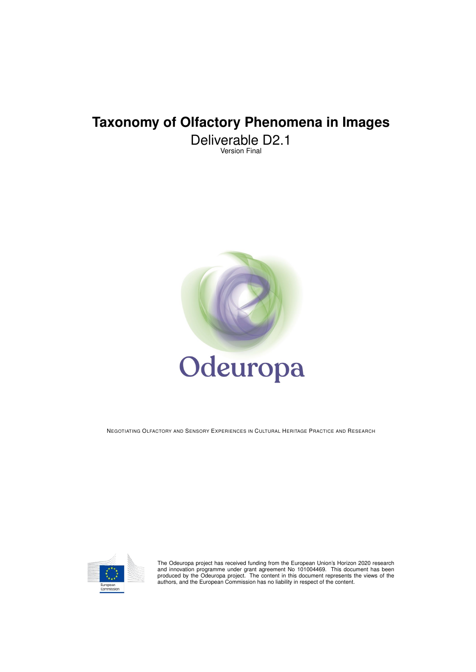# **Taxonomy of Olfactory Phenomena in Images**

Deliverable D2.1 Version Final



NEGOTIATING OLFACTORY AND SENSORY EXPERIENCES IN CULTURAL HERITAGE PRACTICE AND RESEARCH



The Odeuropa project has received funding from the European Union's Horizon 2020 research<br>and innovation programme under grant agreement No 101004469. This document has been<br>produced by the Odeuropa project. The content in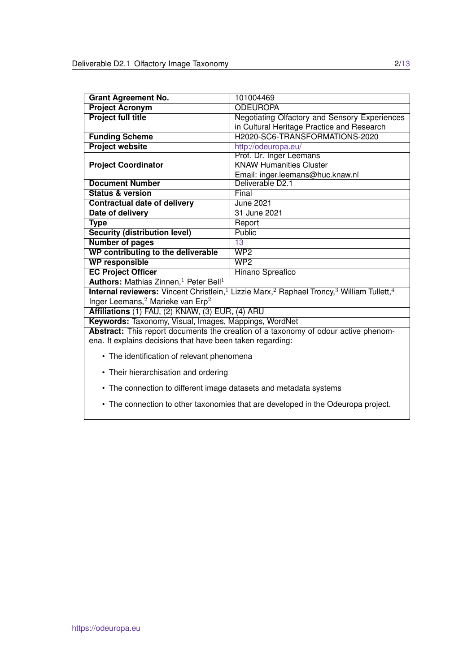| <b>Grant Agreement No.</b>                                    | 101004469                                                                                                                                        |  |  |
|---------------------------------------------------------------|--------------------------------------------------------------------------------------------------------------------------------------------------|--|--|
| <b>Project Acronym</b>                                        | <b>ODEUROPA</b>                                                                                                                                  |  |  |
| <b>Project full title</b>                                     | Negotiating Olfactory and Sensory Experiences                                                                                                    |  |  |
|                                                               | in Cultural Heritage Practice and Research                                                                                                       |  |  |
| <b>Funding Scheme</b>                                         | H2020-SC6-TRANSFORMATIONS-2020                                                                                                                   |  |  |
| <b>Project website</b>                                        | http://odeuropa.eu/                                                                                                                              |  |  |
|                                                               | Prof. Dr. Inger Leemans                                                                                                                          |  |  |
| <b>Project Coordinator</b>                                    | <b>KNAW Humanities Cluster</b>                                                                                                                   |  |  |
|                                                               | Email: inger.leemans@huc.knaw.nl                                                                                                                 |  |  |
| <b>Document Number</b>                                        | Deliverable D2.1                                                                                                                                 |  |  |
| <b>Status &amp; version</b>                                   | Final                                                                                                                                            |  |  |
| <b>Contractual date of delivery</b>                           | <b>June 2021</b>                                                                                                                                 |  |  |
| Date of delivery                                              | 31 June 2021                                                                                                                                     |  |  |
| <b>Type</b>                                                   | Report                                                                                                                                           |  |  |
| <b>Security (distribution level)</b>                          | Public                                                                                                                                           |  |  |
| <b>Number of pages</b>                                        | 13                                                                                                                                               |  |  |
| WP contributing to the deliverable                            | WP2                                                                                                                                              |  |  |
| <b>WP responsible</b>                                         | WP2                                                                                                                                              |  |  |
| <b>EC Project Officer</b>                                     | Hinano Spreafico                                                                                                                                 |  |  |
| Authors: Mathias Zinnen, <sup>1</sup> Peter Bell <sup>1</sup> |                                                                                                                                                  |  |  |
|                                                               | <b>Internal reviewers:</b> Vincent Christlein, <sup>1</sup> Lizzie Marx, <sup>2</sup> Raphael Troncy, <sup>3</sup> William Tullett, <sup>4</sup> |  |  |
| Inger Leemans, $^2$ Marieke van Erp $^2$                      |                                                                                                                                                  |  |  |
| Affiliations (1) FAU, (2) KNAW, (3) EUR, (4) ARU              |                                                                                                                                                  |  |  |
| Keywords: Taxonomy, Visual, Images, Mappings, WordNet         |                                                                                                                                                  |  |  |
|                                                               | Abstract: This report documents the creation of a taxonomy of odour active phenom-                                                               |  |  |
| ena. It explains decisions that have been taken regarding:    |                                                                                                                                                  |  |  |
|                                                               |                                                                                                                                                  |  |  |
| • The identification of relevant phenomena                    |                                                                                                                                                  |  |  |
| • Their hierarchisation and ordering                          |                                                                                                                                                  |  |  |

- 
- The connection to different image datasets and metadata systems
- The connection to other taxonomies that are developed in the Odeuropa project.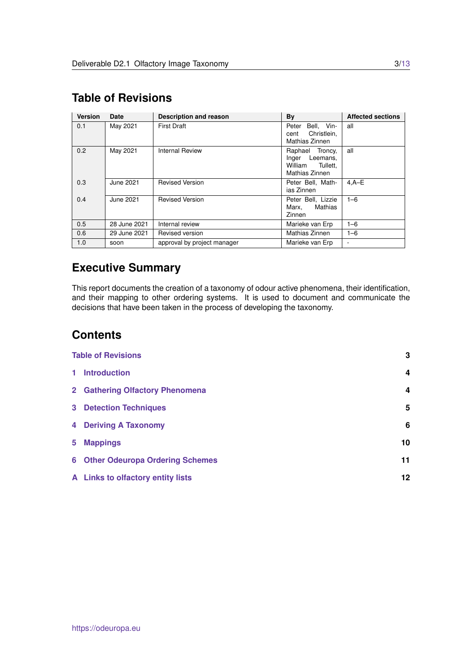| <b>Version</b> | Date         | <b>Description and reason</b> | By                                                                      | <b>Affected sections</b> |
|----------------|--------------|-------------------------------|-------------------------------------------------------------------------|--------------------------|
| 0.1            | May 2021     | <b>First Draft</b>            | Bell. Vin-<br>Peter<br>Christlein,<br>cent<br>Mathias Zinnen            | all                      |
| 0.2            | May 2021     | <b>Internal Review</b>        | Raphael Troncy,<br>Inger Leemans,<br>William Tullett.<br>Mathias Zinnen | all                      |
| 0.3            | June 2021    | <b>Revised Version</b>        | Peter Bell. Math-<br>ias Zinnen                                         | $4.A-E$                  |
| 0.4            | June 2021    | <b>Revised Version</b>        | Peter Bell, Lizzie<br>Mathias<br>Marx,<br>Zinnen                        | $1 - 6$                  |
| 0.5            | 28 June 2021 | Internal review               | Marieke van Erp                                                         | $1 - 6$                  |
| 0.6            | 29 June 2021 | Revised version               | Mathias Zinnen                                                          | $1 - 6$                  |
| 1.0            | soon         | approval by project manager   | Marieke van Erp                                                         |                          |

# <span id="page-2-0"></span>**Table of Revisions**

# **Executive Summary**

This report documents the creation of a taxonomy of odour active phenomena, their identification, and their mapping to other ordering systems. It is used to document and communicate the decisions that have been taken in the process of developing the taxonomy.

# **Contents**

|       | <b>Table of Revisions</b>                |    |
|-------|------------------------------------------|----|
| $1 -$ | <b>Introduction</b>                      | 4  |
|       | 2 Gathering Olfactory Phenomena          | 4  |
|       | <b>3</b> Detection Techniques            | 5  |
|       | <b>4 Deriving A Taxonomy</b>             | 6  |
| $5 -$ | <b>Mappings</b>                          | 10 |
|       | <b>6 Other Odeuropa Ordering Schemes</b> | 11 |
|       | A Links to olfactory entity lists        | 12 |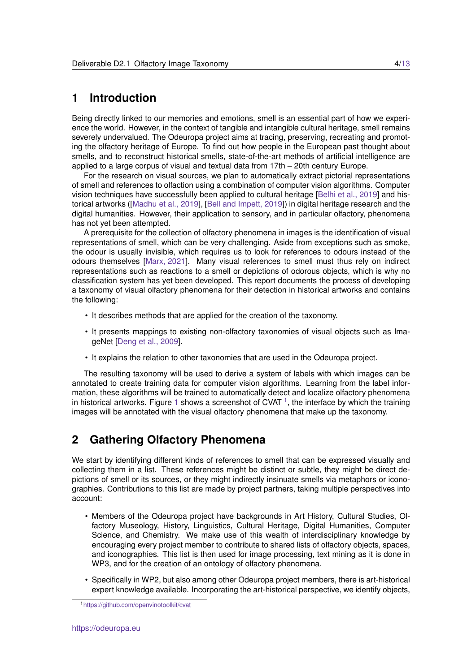#### <span id="page-3-0"></span>**1 Introduction**

Being directly linked to our memories and emotions, smell is an essential part of how we experience the world. However, in the context of tangible and intangible cultural heritage, smell remains severely undervalued. The Odeuropa project aims at tracing, preserving, recreating and promoting the olfactory heritage of Europe. To find out how people in the European past thought about smells, and to reconstruct historical smells, state-of-the-art methods of artificial intelligence are applied to a large corpus of visual and textual data from 17th – 20th century Europe.

For the research on visual sources, we plan to automatically extract pictorial representations of smell and references to olfaction using a combination of computer vision algorithms. Computer vision techniques have successfully been applied to cultural heritage [\[Belhi et al., 2019\]](#page-11-1) and historical artworks ([\[Madhu et al., 2019\]](#page-11-2), [\[Bell and Impett, 2019\]](#page-11-3)) in digital heritage research and the digital humanities. However, their application to sensory, and in particular olfactory, phenomena has not yet been attempted.

A prerequisite for the collection of olfactory phenomena in images is the identification of visual representations of smell, which can be very challenging. Aside from exceptions such as smoke, the odour is usually invisible, which requires us to look for references to odours instead of the odours themselves [\[Marx, 2021\]](#page-11-4). Many visual references to smell must thus rely on indirect representations such as reactions to a smell or depictions of odorous objects, which is why no classification system has yet been developed. This report documents the process of developing a taxonomy of visual olfactory phenomena for their detection in historical artworks and contains the following:

- It describes methods that are applied for the creation of the taxonomy.
- It presents mappings to existing non-olfactory taxonomies of visual objects such as ImageNet [\[Deng et al., 2009\]](#page-11-5).
- It explains the relation to other taxonomies that are used in the Odeuropa project.

The resulting taxonomy will be used to derive a system of labels with which images can be annotated to create training data for computer vision algorithms. Learning from the label information, these algorithms will be trained to automatically detect and localize olfactory phenomena in historical artworks. Figure [1](#page-3-2) shows a screenshot of CVAT<sup>1</sup>, the interface by which the training images will be annotated with the visual olfactory phenomena that make up the taxonomy.

### <span id="page-3-1"></span>**2 Gathering Olfactory Phenomena**

We start by identifying different kinds of references to smell that can be expressed visually and collecting them in a list. These references might be distinct or subtle, they might be direct depictions of smell or its sources, or they might indirectly insinuate smells via metaphors or iconographies. Contributions to this list are made by project partners, taking multiple perspectives into account:

- Members of the Odeuropa project have backgrounds in Art History, Cultural Studies, Olfactory Museology, History, Linguistics, Cultural Heritage, Digital Humanities, Computer Science, and Chemistry. We make use of this wealth of interdisciplinary knowledge by encouraging every project member to contribute to shared lists of olfactory objects, spaces, and iconographies. This list is then used for image processing, text mining as it is done in WP3, and for the creation of an ontology of olfactory phenomena.
- Specifically in WP2, but also among other Odeuropa project members, there is art-historical expert knowledge available. Incorporating the art-historical perspective, we identify objects,

<span id="page-3-2"></span><sup>1</sup><https://github.com/openvinotoolkit/cvat>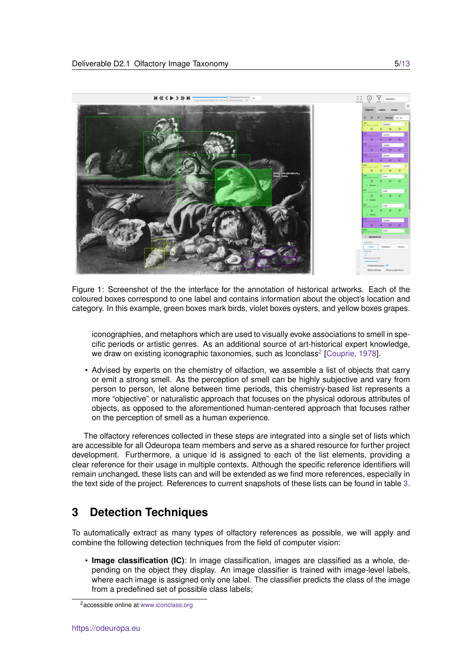

<span id="page-4-1"></span>Figure 1: Screenshot of the the interface for the annotation of historical artworks. Each of the coloured boxes correspond to one label and contains information about the object's location and category. In this example, green boxes mark birds, violet boxes oysters, and yellow boxes grapes.

iconographies, and metaphors which are used to visually evoke associations to smell in specific periods or artistic genres. As an additional source of art-historical expert knowledge, we draw on existing iconographic taxonomies, such as Iconclass<sup>[2](#page-4-2)</sup> [\[Couprie, 1978\]](#page-11-6).

• Advised by experts on the chemistry of olfaction, we assemble a list of objects that carry or emit a strong smell. As the perception of smell can be highly subjective and vary from person to person, let alone between time periods, this chemistry-based list represents a more "objective" or naturalistic approach that focuses on the physical odorous attributes of objects, as opposed to the aforementioned human-centered approach that focuses rather on the perception of smell as a human experience.

The olfactory references collected in these steps are integrated into a single set of lists which are accessible for all Odeuropa team members and serve as a shared resource for further project development. Furthermore, a unique id is assigned to each of the list elements, providing a clear reference for their usage in multiple contexts. Although the specific reference identifiers will remain unchanged, these lists can and will be extended as we find more references, especially in the text side of the project. References to current snapshots of these lists can be found in table [3.](#page-11-7)

# <span id="page-4-0"></span>**3 Detection Techniques**

To automatically extract as many types of olfactory references as possible, we will apply and combine the following detection techniques from the field of computer vision:

• **Image classification (IC)**: In image classification, images are classified as a whole, depending on the object they display. An image classifier is trained with image-level labels, where each image is assigned only one label. The classifier predicts the class of the image from a predefined set of possible class labels;

<span id="page-4-2"></span><sup>2</sup>accessible online at <www.iconclass.org>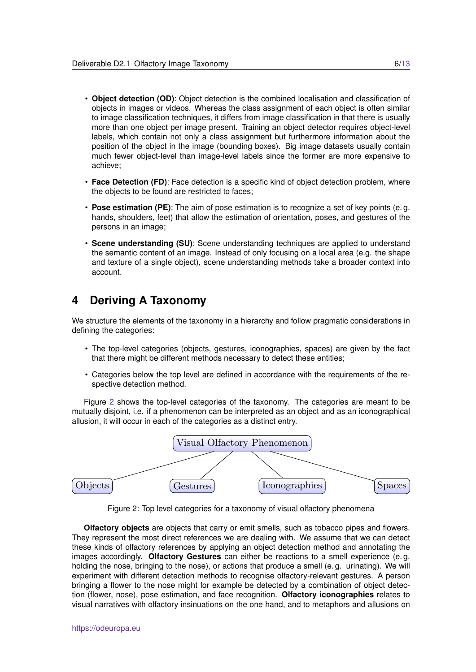- **Object detection (OD)**: Object detection is the combined localisation and classification of objects in images or videos. Whereas the class assignment of each object is often similar to image classification techniques, it differs from image classification in that there is usually more than one object per image present. Training an object detector requires object-level labels, which contain not only a class assignment but furthermore information about the position of the object in the image (bounding boxes). Big image datasets usually contain much fewer object-level than image-level labels since the former are more expensive to achieve;
- **Face Detection (FD)**: Face detection is a specific kind of object detection problem, where the objects to be found are restricted to faces;
- **Pose estimation (PE)**: The aim of pose estimation is to recognize a set of key points (e. g. hands, shoulders, feet) that allow the estimation of orientation, poses, and gestures of the persons in an image;
- **Scene understanding (SU)**: Scene understanding techniques are applied to understand the semantic content of an image. Instead of only focusing on a local area (e.g. the shape and texture of a single object), scene understanding methods take a broader context into account.

### <span id="page-5-0"></span>**4 Deriving A Taxonomy**

We structure the elements of the taxonomy in a hierarchy and follow pragmatic considerations in defining the categories:

- The top-level categories (objects, gestures, iconographies, spaces) are given by the fact that there might be different methods necessary to detect these entities;
- Categories below the top level are defined in accordance with the requirements of the respective detection method.

Figure [2](#page-5-1) shows the top-level categories of the taxonomy. The categories are meant to be mutually disjoint, i.e. if a phenomenon can be interpreted as an object and as an iconographical allusion, it will occur in each of the categories as a distinct entry.



<span id="page-5-1"></span>Figure 2: Top level categories for a taxonomy of visual olfactory phenomena

**Olfactory objects** are objects that carry or emit smells, such as tobacco pipes and flowers. They represent the most direct references we are dealing with. We assume that we can detect these kinds of olfactory references by applying an object detection method and annotating the images accordingly. **Olfactory Gestures** can either be reactions to a smell experience (e. g. holding the nose, bringing to the nose), or actions that produce a smell (e. g. urinating). We will experiment with different detection methods to recognise olfactory-relevant gestures. A person bringing a flower to the nose might for example be detected by a combination of object detection (flower, nose), pose estimation, and face recognition. **Olfactory iconographies** relates to visual narratives with olfactory insinuations on the one hand, and to metaphors and allusions on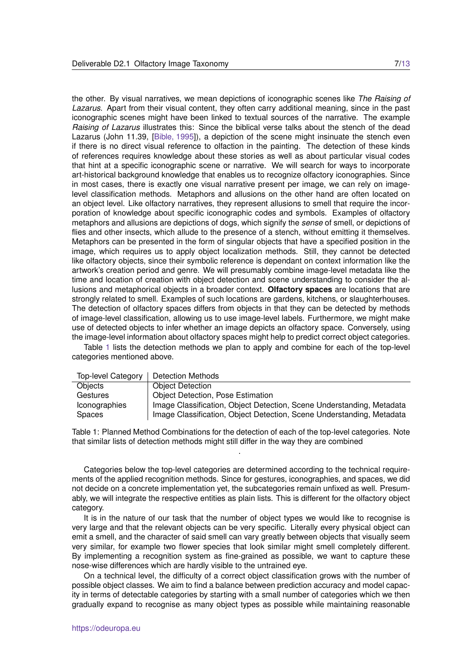the other. By visual narratives, we mean depictions of iconographic scenes like *The Raising of Lazarus*. Apart from their visual content, they often carry additional meaning, since in the past iconographic scenes might have been linked to textual sources of the narrative. The example *Raising of Lazarus* illustrates this: Since the biblical verse talks about the stench of the dead Lazarus (John 11.39, [\[Bible, 1995\]](#page-11-8)), a depiction of the scene might insinuate the stench even if there is no direct visual reference to olfaction in the painting. The detection of these kinds of references requires knowledge about these stories as well as about particular visual codes that hint at a specific iconographic scene or narrative. We will search for ways to incorporate art-historical background knowledge that enables us to recognize olfactory iconographies. Since in most cases, there is exactly one visual narrative present per image, we can rely on imagelevel classification methods. Metaphors and allusions on the other hand are often located on an object level. Like olfactory narratives, they represent allusions to smell that require the incorporation of knowledge about specific iconographic codes and symbols. Examples of olfactory metaphors and allusions are depictions of dogs, which signify the *sense* of smell, or depictions of flies and other insects, which allude to the presence of a stench, without emitting it themselves. Metaphors can be presented in the form of singular objects that have a specified position in the image, which requires us to apply object localization methods. Still, they cannot be detected like olfactory objects, since their symbolic reference is dependant on context information like the artwork's creation period and genre. We will presumably combine image-level metadata like the time and location of creation with object detection and scene understanding to consider the allusions and metaphorical objects in a broader context. **Olfactory spaces** are locations that are strongly related to smell. Examples of such locations are gardens, kitchens, or slaughterhouses. The detection of olfactory spaces differs from objects in that they can be detected by methods of image-level classification, allowing us to use image-level labels. Furthermore, we might make use of detected objects to infer whether an image depicts an olfactory space. Conversely, using the image-level information about olfactory spaces might help to predict correct object categories.

Table [1](#page-6-0) lists the detection methods we plan to apply and combine for each of the top-level categories mentioned above.

| Objects<br><b>Object Detection</b><br><b>Object Detection, Pose Estimation</b><br>Gestures | <b>Top-level Category</b> | <b>Detection Methods</b>                                              |
|--------------------------------------------------------------------------------------------|---------------------------|-----------------------------------------------------------------------|
|                                                                                            |                           |                                                                       |
|                                                                                            |                           |                                                                       |
|                                                                                            | <b>Iconographies</b>      | Image Classification, Object Detection, Scene Understanding, Metadata |
| Image Classification, Object Detection, Scene Understanding, Metadata<br>Spaces            |                           |                                                                       |

<span id="page-6-0"></span>Table 1: Planned Method Combinations for the detection of each of the top-level categories. Note that similar lists of detection methods might still differ in the way they are combined .

Categories below the top-level categories are determined according to the technical requirements of the applied recognition methods. Since for gestures, iconographies, and spaces, we did not decide on a concrete implementation yet, the subcategories remain unfixed as well. Presumably, we will integrate the respective entities as plain lists. This is different for the olfactory object category.

It is in the nature of our task that the number of object types we would like to recognise is very large and that the relevant objects can be very specific. Literally every physical object can emit a smell, and the character of said smell can vary greatly between objects that visually seem very similar, for example two flower species that look similar might smell completely different. By implementing a recognition system as fine-grained as possible, we want to capture these nose-wise differences which are hardly visible to the untrained eye.

On a technical level, the difficulty of a correct object classification grows with the number of possible object classes. We aim to find a balance between prediction accuracy and model capacity in terms of detectable categories by starting with a small number of categories which we then gradually expand to recognise as many object types as possible while maintaining reasonable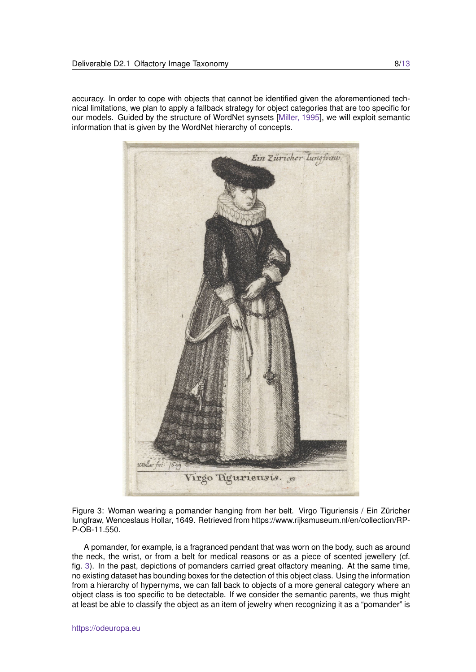accuracy. In order to cope with objects that cannot be identified given the aforementioned technical limitations, we plan to apply a fallback strategy for object categories that are too specific for our models. Guided by the structure of WordNet synsets [\[Miller, 1995\]](#page-11-9), we will exploit semantic information that is given by the WordNet hierarchy of concepts.



<span id="page-7-0"></span>Figure 3: Woman wearing a pomander hanging from her belt. Virgo Tiguriensis / Ein Züricher Iungfraw, Wenceslaus Hollar, 1649. Retrieved from https://www.rijksmuseum.nl/en/collection/RP-P-OB-11.550.

A pomander, for example, is a fragranced pendant that was worn on the body, such as around the neck, the wrist, or from a belt for medical reasons or as a piece of scented jewellery (cf. fig. [3\)](#page-7-0). In the past, depictions of pomanders carried great olfactory meaning. At the same time, no existing dataset has bounding boxes for the detection of this object class. Using the information from a hierarchy of hypernyms, we can fall back to objects of a more general category where an object class is too specific to be detectable. If we consider the semantic parents, we thus might at least be able to classify the object as an item of jewelry when recognizing it as a "pomander" is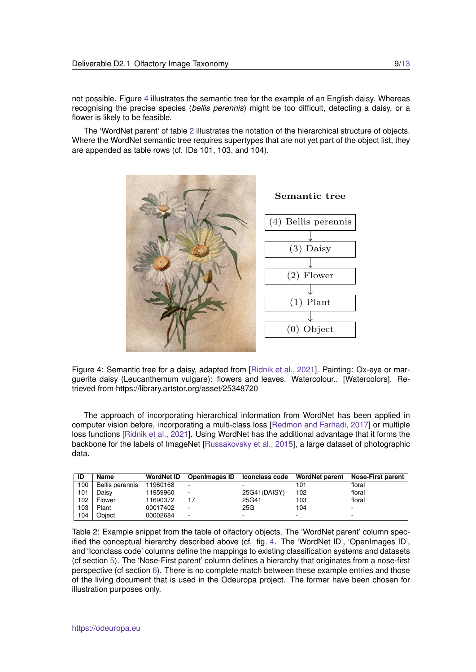not possible. Figure [4](#page-8-0) illustrates the semantic tree for the example of an English daisy. Whereas recognising the precise species (*bellis perennis*) might be too difficult, detecting a daisy, or a flower is likely to be feasible.

The 'WordNet parent' of table [2](#page-8-1) illustrates the notation of the hierarchical structure of objects. Where the WordNet semantic tree requires supertypes that are not yet part of the object list, they are appended as table rows (cf. IDs 101, 103, and 104).



<span id="page-8-0"></span>Figure 4: Semantic tree for a daisy, adapted from [\[Ridnik et al., 2021\]](#page-11-10). Painting: Ox-eye or marguerite daisy (Leucanthemum vulgare): flowers and leaves. Watercolour.. [Watercolors]. Retrieved from https://library.artstor.org/asset/25348720

The approach of incorporating hierarchical information from WordNet has been applied in computer vision before, incorporating a multi-class loss [\[Redmon and Farhadi, 2017\]](#page-11-11) or multiple loss functions [\[Ridnik et al., 2021\]](#page-11-10). Using WordNet has the additional advantage that it forms the backbone for the labels of ImageNet [\[Russakovsky et al., 2015\]](#page-12-1), a large dataset of photographic data.

| ID  | Name            | <b>WordNet ID</b> | <b>OpenImages ID</b> | Iconclass code | <b>WordNet parent</b> | <b>Nose-First parent</b> |
|-----|-----------------|-------------------|----------------------|----------------|-----------------------|--------------------------|
| 100 | Bellis perennis | 11960168          |                      |                | 101                   | floral                   |
| 101 | Daisy           | 11959960          |                      | 25G41(DAISY)   | 102                   | floral                   |
| 102 | Flower          | 11690372          | 17                   | 25G41          | 103                   | floral                   |
| 103 | Plant           | 00017402          |                      | 25G            | 104                   |                          |
| 104 | Obiect          | 00002684          |                      |                |                       | -                        |

<span id="page-8-1"></span>Table 2: Example snippet from the table of olfactory objects. The 'WordNet parent' column specified the conceptual hierarchy described above (cf. fig. [4.](#page-8-0) The 'WordNet ID', 'OpenImages ID', and 'Iconclass code' columns define the mappings to existing classification systems and datasets (cf section [5\)](#page-9-0). The 'Nose-First parent' column defines a hierarchy that originates from a nose-first perspective (cf section [6\)](#page-10-0). There is no complete match between these example entries and those of the living document that is used in the Odeuropa project. The former have been chosen for illustration purposes only.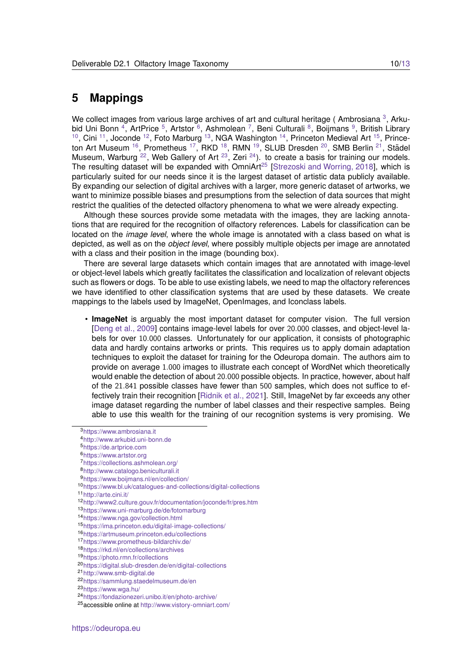#### <span id="page-9-0"></span>**5 Mappings**

We collect images from various large archives of art and cultural heritage (Ambrosiana<sup>[3](#page-9-1)</sup>, Arku-bid Uni Bonn<sup>[4](#page-9-2)</sup>, ArtPrice<sup>[5](#page-9-3)</sup>, Artstor<sup>[6](#page-9-4)</sup>, Ashmolean<sup>[7](#page-9-5)</sup>, Beni Culturali<sup>[8](#page-9-6)</sup>, Boijmans<sup>[9](#page-9-7)</sup>, British Library  $10$ , Cini  $11$ , Joconde  $12$ , Foto Marburg  $13$ , NGA Washington  $14$ , Princeton Medieval Art  $15$ , Prince-ton Art Museum <sup>[16](#page-9-14)</sup>, Prometheus <sup>[17](#page-9-15)</sup>, RKD <sup>[18](#page-9-16)</sup>, RMN <sup>[19](#page-9-17)</sup>, SLUB Dresden <sup>[20](#page-9-18)</sup>, SMB Berlin <sup>[21](#page-9-19)</sup>, Städel Museum, Warburg  $^{22}$  $^{22}$  $^{22}$ , Web Gallery of Art  $^{23}$  $^{23}$  $^{23}$ , Zeri  $^{24}$  $^{24}$  $^{24}$ ). to create a basis for training our models. The resulting dataset will be expanded with OmniArt<sup>[25](#page-9-23)</sup> [\[Strezoski and Worring, 2018\]](#page-12-2), which is particularly suited for our needs since it is the largest dataset of artistic data publicly available. By expanding our selection of digital archives with a larger, more generic dataset of artworks, we want to minimize possible biases and presumptions from the selection of data sources that might restrict the qualities of the detected olfactory phenomena to what we were already expecting.

Although these sources provide some metadata with the images, they are lacking annotations that are required for the recognition of olfactory references. Labels for classification can be located on the *image level*, where the whole image is annotated with a class based on what is depicted, as well as on the *object level*, where possibly multiple objects per image are annotated with a class and their position in the image (bounding box).

There are several large datasets which contain images that are annotated with image-level or object-level labels which greatly facilitates the classification and localization of relevant objects such as flowers or dogs. To be able to use existing labels, we need to map the olfactory references we have identified to other classification systems that are used by these datasets. We create mappings to the labels used by ImageNet, OpenImages, and Iconclass labels.

• **ImageNet** is arguably the most important dataset for computer vision. The full version [\[Deng et al., 2009\]](#page-11-5) contains image-level labels for over 20.000 classes, and object-level labels for over 10.000 classes. Unfortunately for our application, it consists of photographic data and hardly contains artworks or prints. This requires us to apply domain adaptation techniques to exploit the dataset for training for the Odeuropa domain. The authors aim to provide on average 1.000 images to illustrate each concept of WordNet which theoretically would enable the detection of about 20.000 possible objects. In practice, however, about half of the 21.841 possible classes have fewer than 500 samples, which does not suffice to effectively train their recognition [\[Ridnik et al., 2021\]](#page-11-10). Still, ImageNet by far exceeds any other image dataset regarding the number of label classes and their respective samples. Being able to use this wealth for the training of our recognition systems is very promising. We

<span id="page-9-9"></span><sup>11</sup><http://arte.cini.it/>

<span id="page-9-1"></span><sup>3</sup><https://www.ambrosiana.it>

<span id="page-9-2"></span><sup>4</sup><http://www.arkubid.uni-bonn.de>

<span id="page-9-3"></span><sup>5</sup><https://de.artprice.com>

<span id="page-9-4"></span><sup>6</sup><https://www.artstor.org>

<span id="page-9-5"></span><sup>7</sup><https://collections.ashmolean.org/>

<span id="page-9-6"></span><sup>8</sup><http://www.catalogo.beniculturali.it>

<span id="page-9-7"></span><sup>9</sup><https://www.boijmans.nl/en/collection/>

<span id="page-9-8"></span><sup>10</sup><https://www.bl.uk/catalogues-and-collections/digital-collections>

<span id="page-9-10"></span><sup>12</sup><http://www2.culture.gouv.fr/documentation/joconde/fr/pres.htm>

<span id="page-9-11"></span><sup>13</sup><https://www.uni-marburg.de/de/fotomarburg>

<span id="page-9-12"></span><sup>14</sup><https://www.nga.gov/collection.html>

<span id="page-9-13"></span><sup>15</sup><https://ima.princeton.edu/digital-image-collections/>

<span id="page-9-14"></span><sup>16</sup><https://artmuseum.princeton.edu/collections>

<span id="page-9-15"></span><sup>17</sup><https://www.prometheus-bildarchiv.de/>

<span id="page-9-16"></span><sup>18</sup><https://rkd.nl/en/collections/archives>

<span id="page-9-17"></span><sup>19</sup><https://photo.rmn.fr/collections>

<span id="page-9-18"></span><sup>20</sup><https://digital.slub-dresden.de/en/digital-collections>

<span id="page-9-19"></span><sup>21</sup><http://www.smb-digital.de>

<span id="page-9-20"></span><sup>22</sup><https://sammlung.staedelmuseum.de/en>

<span id="page-9-21"></span><sup>23</sup><https://www.wga.hu/>

<span id="page-9-22"></span><sup>24</sup><https://fondazionezeri.unibo.it/en/photo-archive/>

<span id="page-9-23"></span><sup>25</sup>accessible online at <http://www.vistory-omniart.com/>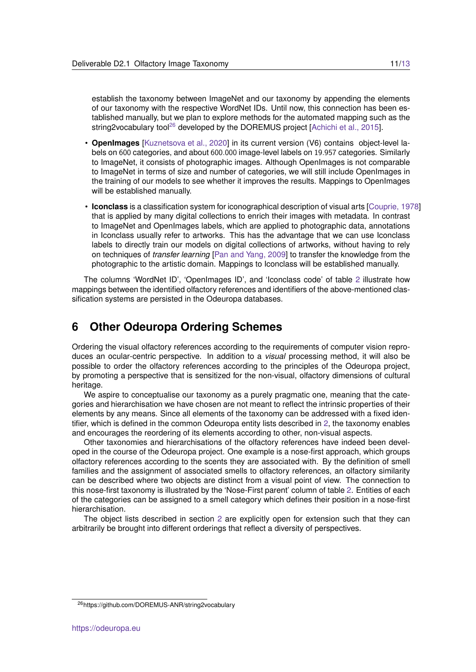establish the taxonomy between ImageNet and our taxonomy by appending the elements of our taxonomy with the respective WordNet IDs. Until now, this connection has been established manually, but we plan to explore methods for the automated mapping such as the string2vocabulary tool<sup>[26](#page-10-1)</sup> developed by the DOREMUS project [\[Achichi et al., 2015\]](#page-11-12).

- **OpenImages** [\[Kuznetsova et al., 2020\]](#page-11-13) in its current version (V6) contains object-level labels on 600 categories, and about 600.000 image-level labels on 19.957 categories. Similarly to ImageNet, it consists of photographic images. Although OpenImages is not comparable to ImageNet in terms of size and number of categories, we will still include OpenImages in the training of our models to see whether it improves the results. Mappings to OpenImages will be established manually.
- **Iconclass** is a classification system for iconographical description of visual arts [\[Couprie, 1978\]](#page-11-6) that is applied by many digital collections to enrich their images with metadata. In contrast to ImageNet and OpenImages labels, which are applied to photographic data, annotations in Iconclass usually refer to artworks. This has the advantage that we can use Iconclass labels to directly train our models on digital collections of artworks, without having to rely on techniques of *transfer learning* [\[Pan and Yang, 2009\]](#page-11-14) to transfer the knowledge from the photographic to the artistic domain. Mappings to Iconclass will be established manually.

The columns 'WordNet ID', 'OpenImages ID', and 'Iconclass code' of table [2](#page-8-1) illustrate how mappings between the identified olfactory references and identifiers of the above-mentioned classification systems are persisted in the Odeuropa databases.

#### <span id="page-10-0"></span>**6 Other Odeuropa Ordering Schemes**

Ordering the visual olfactory references according to the requirements of computer vision reproduces an ocular-centric perspective. In addition to a *visual* processing method, it will also be possible to order the olfactory references according to the principles of the Odeuropa project, by promoting a perspective that is sensitized for the non-visual, olfactory dimensions of cultural heritage.

We aspire to conceptualise our taxonomy as a purely pragmatic one, meaning that the categories and hierarchisation we have chosen are not meant to reflect the intrinsic properties of their elements by any means. Since all elements of the taxonomy can be addressed with a fixed identifier, which is defined in the common Odeuropa entity lists described in [2,](#page-3-1) the taxonomy enables and encourages the reordering of its elements according to other, non-visual aspects.

Other taxonomies and hierarchisations of the olfactory references have indeed been developed in the course of the Odeuropa project. One example is a nose-first approach, which groups olfactory references according to the scents they are associated with. By the definition of smell families and the assignment of associated smells to olfactory references, an olfactory similarity can be described where two objects are distinct from a visual point of view. The connection to this nose-first taxonomy is illustrated by the 'Nose-First parent' column of table [2.](#page-8-1) Entities of each of the categories can be assigned to a smell category which defines their position in a nose-first hierarchisation.

The object lists described in section [2](#page-3-1) are explicitly open for extension such that they can arbitrarily be brought into different orderings that reflect a diversity of perspectives.

<span id="page-10-1"></span><sup>26</sup>https://github.com/DOREMUS-ANR/string2vocabulary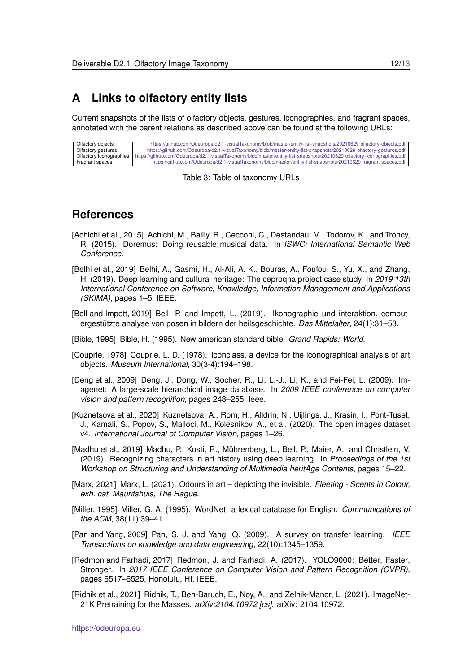### <span id="page-11-0"></span>**A Links to olfactory entity lists**

Current snapshots of the lists of olfactory objects, gestures, iconographies, and fragrant spaces, annotated with the parent relations as described above can be found at the following URLs:

| Olfactory objects       | https://github.com/Odeuropa/d2.1-visualTaxonomy/blob/master/entity-list-snapshots/20210629_olfactory-objects.pdf       |
|-------------------------|------------------------------------------------------------------------------------------------------------------------|
| Olfactory gestures      | https://github.com/Odeuropa/d2.1-visualTaxonomy/blob/master/entity-list-snapshots/20210629_olfactory-gestures.pdf      |
| Olfactory Iconographies | https://github.com/Odeuropa/d2.1-visualTaxonomy/blob/master/entity-list-snapshots/20210629_olfactory-iconographies.pdf |
| Fragrant spaces         | https://github.com/Odeuropa/d2.1-visualTaxonomy/blob/master/entity-list-snapshots/20210629_fragrant_spaces.pdf         |

<span id="page-11-7"></span>Table 3: Table of taxonomy URLs

#### **References**

- <span id="page-11-12"></span>[Achichi et al., 2015] Achichi, M., Bailly, R., Cecconi, C., Destandau, M., Todorov, K., and Troncy, R. (2015). Doremus: Doing reusable musical data. In *ISWC: International Semantic Web Conference*.
- <span id="page-11-1"></span>[Belhi et al., 2019] Belhi, A., Gasmi, H., Al-Ali, A. K., Bouras, A., Foufou, S., Yu, X., and Zhang, H. (2019). Deep learning and cultural heritage: The ceproqha project case study. In *2019 13th International Conference on Software, Knowledge, Information Management and Applications (SKIMA)*, pages 1–5. IEEE.
- <span id="page-11-3"></span>[Bell and Impett, 2019] Bell, P. and Impett, L. (2019). Ikonographie und interaktion. computergestützte analyse von posen in bildern der heilsgeschichte. Das Mittelalter, 24(1):31–53.
- <span id="page-11-8"></span>[Bible, 1995] Bible, H. (1995). New american standard bible. *Grand Rapids: World*.
- <span id="page-11-6"></span>[Couprie, 1978] Couprie, L. D. (1978). Iconclass, a device for the iconographical analysis of art objects. *Museum International*, 30(3-4):194–198.
- <span id="page-11-5"></span>[Deng et al., 2009] Deng, J., Dong, W., Socher, R., Li, L.-J., Li, K., and Fei-Fei, L. (2009). Imagenet: A large-scale hierarchical image database. In *2009 IEEE conference on computer vision and pattern recognition*, pages 248–255. Ieee.
- <span id="page-11-13"></span>[Kuznetsova et al., 2020] Kuznetsova, A., Rom, H., Alldrin, N., Uijlings, J., Krasin, I., Pont-Tuset, J., Kamali, S., Popov, S., Malloci, M., Kolesnikov, A., et al. (2020). The open images dataset v4. *International Journal of Computer Vision*, pages 1–26.
- <span id="page-11-2"></span>[Madhu et al., 2019] Madhu, P., Kosti, R., Muhrenberg, L., Bell, P., Maier, A., and Christlein, V. ¨ (2019). Recognizing characters in art history using deep learning. In *Proceedings of the 1st Workshop on Structuring and Understanding of Multimedia heritAge Contents*, pages 15–22.
- <span id="page-11-4"></span>[Marx, 2021] Marx, L. (2021). Odours in art – depicting the invisible. *Fleeting - Scents in Colour, exh. cat. Mauritshuis, The Hague*.
- <span id="page-11-9"></span>[Miller, 1995] Miller, G. A. (1995). WordNet: a lexical database for English. *Communications of the ACM*, 38(11):39–41.
- <span id="page-11-14"></span>[Pan and Yang, 2009] Pan, S. J. and Yang, Q. (2009). A survey on transfer learning. *IEEE Transactions on knowledge and data engineering*, 22(10):1345–1359.
- <span id="page-11-11"></span>[Redmon and Farhadi, 2017] Redmon, J. and Farhadi, A. (2017). YOLO9000: Better, Faster, Stronger. In *2017 IEEE Conference on Computer Vision and Pattern Recognition (CVPR)*, pages 6517–6525, Honolulu, HI. IEEE.
- <span id="page-11-10"></span>[Ridnik et al., 2021] Ridnik, T., Ben-Baruch, E., Noy, A., and Zelnik-Manor, L. (2021). ImageNet-21K Pretraining for the Masses. *arXiv:2104.10972 [cs]*. arXiv: 2104.10972.